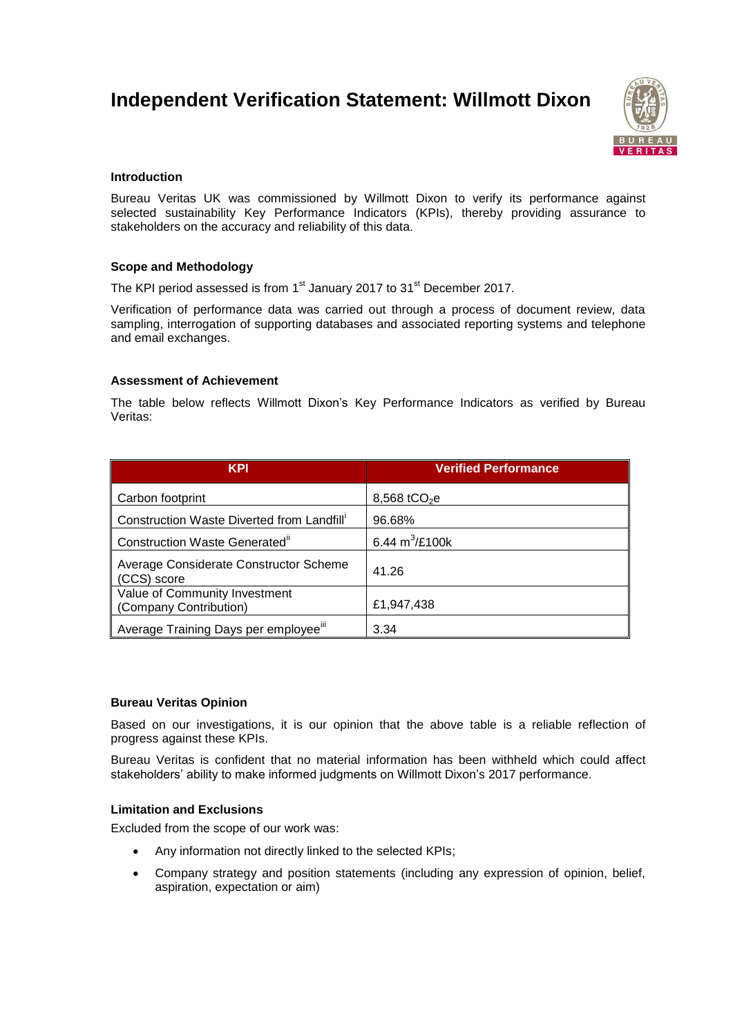# **Independent Verification Statement: Willmott Dixon**



## **Introduction**

Bureau Veritas UK was commissioned by Willmott Dixon to verify its performance against selected sustainability Key Performance Indicators (KPIs), thereby providing assurance to stakeholders on the accuracy and reliability of this data.

## **Scope and Methodology**

The KPI period assessed is from 1<sup>st</sup> January 2017 to 31<sup>st</sup> December 2017.

Verification of performance data was carried out through a process of document review, data sampling, interrogation of supporting databases and associated reporting systems and telephone and email exchanges.

## **Assessment of Achievement**

The table below reflects Willmott Dixon's Key Performance Indicators as verified by Bureau Veritas:

| <b>KPI</b>                                              | <b>Verified Performance</b> |
|---------------------------------------------------------|-----------------------------|
| Carbon footprint                                        | 8,568 tCO <sub>2</sub> e    |
| Construction Waste Diverted from Landfill'              | 96.68%                      |
| Construction Waste Generated"                           | 6.44 $m^3$ /£100k           |
| Average Considerate Constructor Scheme<br>(CCS) score   | 41.26                       |
| Value of Community Investment<br>(Company Contribution) | £1,947,438                  |
| Average Training Days per employee <sup>iii</sup>       | 3.34                        |

#### **Bureau Veritas Opinion**

Based on our investigations, it is our opinion that the above table is a reliable reflection of progress against these KPIs.

Bureau Veritas is confident that no material information has been withheld which could affect stakeholders' ability to make informed judgments on Willmott Dixon's 2017 performance.

#### **Limitation and Exclusions**

Excluded from the scope of our work was:

- Any information not directly linked to the selected KPIs;
- Company strategy and position statements (including any expression of opinion, belief, aspiration, expectation or aim)